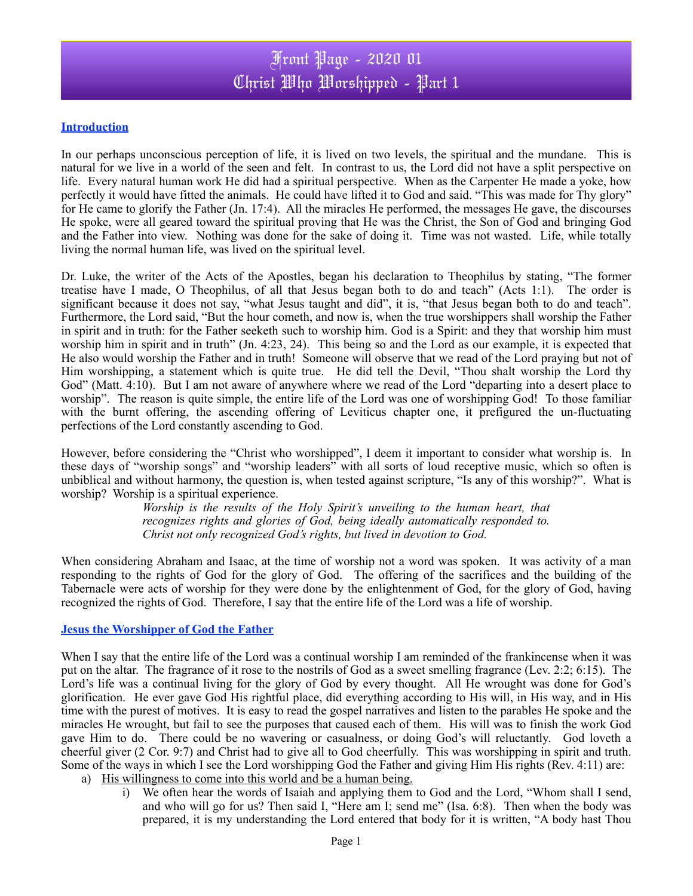# Front Page - 2020 01 Christ Who Worshipped - Part 1

## **Introduction**

In our perhaps unconscious perception of life, it is lived on two levels, the spiritual and the mundane. This is natural for we live in a world of the seen and felt. In contrast to us, the Lord did not have a split perspective on life. Every natural human work He did had a spiritual perspective. When as the Carpenter He made a yoke, how perfectly it would have fitted the animals. He could have lifted it to God and said. "This was made for Thy glory" for He came to glorify the Father (Jn. 17:4). All the miracles He performed, the messages He gave, the discourses He spoke, were all geared toward the spiritual proving that He was the Christ, the Son of God and bringing God and the Father into view. Nothing was done for the sake of doing it. Time was not wasted. Life, while totally living the normal human life, was lived on the spiritual level.

Dr. Luke, the writer of the Acts of the Apostles, began his declaration to Theophilus by stating, "The former treatise have I made, O Theophilus, of all that Jesus began both to do and teach" (Acts 1:1). The order is significant because it does not say, "what Jesus taught and did", it is, "that Jesus began both to do and teach". Furthermore, the Lord said, "But the hour cometh, and now is, when the true worshippers shall worship the Father in spirit and in truth: for the Father seeketh such to worship him. God is a Spirit: and they that worship him must worship him in spirit and in truth" (Jn. 4:23, 24). This being so and the Lord as our example, it is expected that He also would worship the Father and in truth! Someone will observe that we read of the Lord praying but not of Him worshipping, a statement which is quite true. He did tell the Devil, "Thou shalt worship the Lord thy God" (Matt. 4:10). But I am not aware of anywhere where we read of the Lord "departing into a desert place to worship". The reason is quite simple, the entire life of the Lord was one of worshipping God! To those familiar with the burnt offering, the ascending offering of Leviticus chapter one, it prefigured the un-fluctuating perfections of the Lord constantly ascending to God.

However, before considering the "Christ who worshipped", I deem it important to consider what worship is. In these days of "worship songs" and "worship leaders" with all sorts of loud receptive music, which so often is unbiblical and without harmony, the question is, when tested against scripture, "Is any of this worship?". What is worship? Worship is a spiritual experience.

> *Worship is the results of the Holy Spirit's unveiling to the human heart, that recognizes rights and glories of God, being ideally automatically responded to. Christ not only recognized God's rights, but lived in devotion to God.*

When considering Abraham and Isaac, at the time of worship not a word was spoken. It was activity of a man responding to the rights of God for the glory of God. The offering of the sacrifices and the building of the Tabernacle were acts of worship for they were done by the enlightenment of God, for the glory of God, having recognized the rights of God. Therefore, I say that the entire life of the Lord was a life of worship.

#### **Jesus the Worshipper of God the Father**

When I say that the entire life of the Lord was a continual worship I am reminded of the frankincense when it was put on the altar. The fragrance of it rose to the nostrils of God as a sweet smelling fragrance (Lev. 2:2; 6:15). The Lord's life was a continual living for the glory of God by every thought. All He wrought was done for God's glorification. He ever gave God His rightful place, did everything according to His will, in His way, and in His time with the purest of motives. It is easy to read the gospel narratives and listen to the parables He spoke and the miracles He wrought, but fail to see the purposes that caused each of them. His will was to finish the work God gave Him to do. There could be no wavering or casualness, or doing God's will reluctantly. God loveth a cheerful giver (2 Cor. 9:7) and Christ had to give all to God cheerfully. This was worshipping in spirit and truth. Some of the ways in which I see the Lord worshipping God the Father and giving Him His rights (Rev. 4:11) are:

- a) His willingness to come into this world and be a human being.
	- i) We often hear the words of Isaiah and applying them to God and the Lord, "Whom shall I send, and who will go for us? Then said I, "Here am I; send me" (Isa. 6:8). Then when the body was prepared, it is my understanding the Lord entered that body for it is written, "A body hast Thou